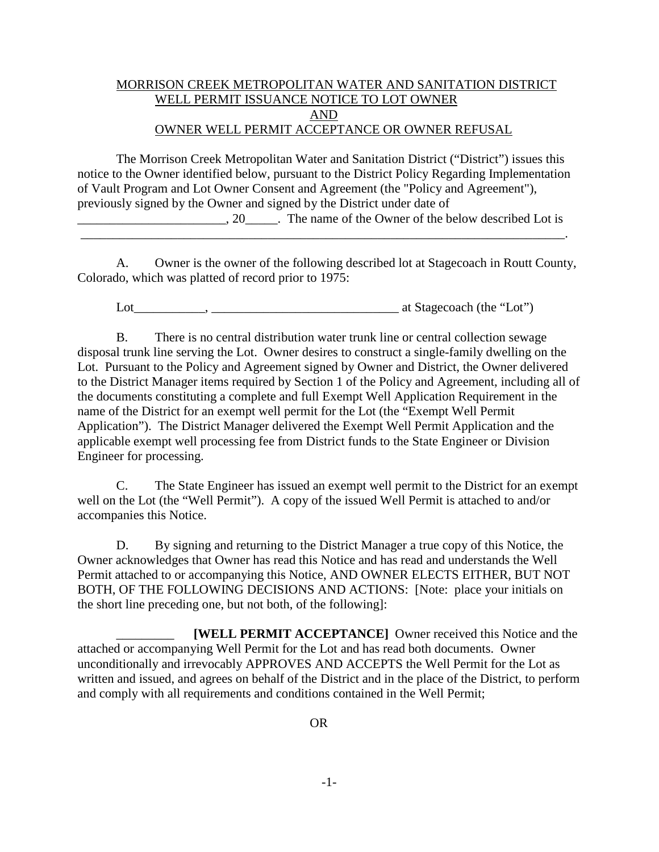## MORRISON CREEK METROPOLITAN WATER AND SANITATION DISTRICT WELL PERMIT ISSUANCE NOTICE TO LOT OWNER AND OWNER WELL PERMIT ACCEPTANCE OR OWNER REFUSAL

The Morrison Creek Metropolitan Water and Sanitation District ("District") issues this notice to the Owner identified below, pursuant to the District Policy Regarding Implementation of Vault Program and Lot Owner Consent and Agreement (the "Policy and Agreement"), previously signed by the Owner and signed by the District under date of

\_\_\_\_\_\_\_\_\_\_\_\_\_\_\_\_\_\_\_\_\_\_\_, 20\_\_\_\_\_. The name of the Owner of the below described Lot is

A. Owner is the owner of the following described lot at Stagecoach in Routt County, Colorado, which was platted of record prior to 1975:

\_\_\_\_\_\_\_\_\_\_\_\_\_\_\_\_\_\_\_\_\_\_\_\_\_\_\_\_\_\_\_\_\_\_\_\_\_\_\_\_\_\_\_\_\_\_\_\_\_\_\_\_\_\_\_\_\_\_\_\_\_\_\_\_\_\_\_\_\_\_\_\_\_\_\_.

Lot\_\_\_\_\_\_\_\_\_\_\_, \_\_\_\_\_\_\_\_\_\_\_\_\_\_\_\_\_\_\_\_\_\_\_\_\_\_\_\_\_ at Stagecoach (the "Lot")

B. There is no central distribution water trunk line or central collection sewage disposal trunk line serving the Lot. Owner desires to construct a single-family dwelling on the Lot. Pursuant to the Policy and Agreement signed by Owner and District, the Owner delivered to the District Manager items required by Section 1 of the Policy and Agreement, including all of the documents constituting a complete and full Exempt Well Application Requirement in the name of the District for an exempt well permit for the Lot (the "Exempt Well Permit Application"). The District Manager delivered the Exempt Well Permit Application and the applicable exempt well processing fee from District funds to the State Engineer or Division Engineer for processing.

C. The State Engineer has issued an exempt well permit to the District for an exempt well on the Lot (the "Well Permit"). A copy of the issued Well Permit is attached to and/or accompanies this Notice.

D. By signing and returning to the District Manager a true copy of this Notice, the Owner acknowledges that Owner has read this Notice and has read and understands the Well Permit attached to or accompanying this Notice, AND OWNER ELECTS EITHER, BUT NOT BOTH, OF THE FOLLOWING DECISIONS AND ACTIONS: [Note: place your initials on the short line preceding one, but not both, of the following]:

**[WELL PERMIT ACCEPTANCE]** Owner received this Notice and the attached or accompanying Well Permit for the Lot and has read both documents. Owner unconditionally and irrevocably APPROVES AND ACCEPTS the Well Permit for the Lot as written and issued, and agrees on behalf of the District and in the place of the District, to perform and comply with all requirements and conditions contained in the Well Permit;

OR